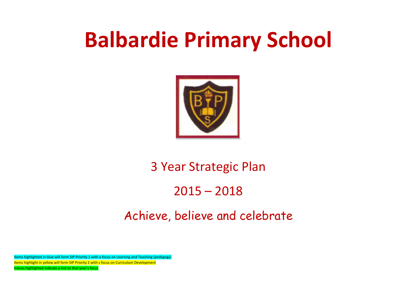## **Balbardie Primary School**



## 3 Year Strategic Plan

## 2015 – 2018

## Achieve, believe and celebrate

Items highlighted in blue will form SIP Priority 1 with a focus on Learning and Teaching (pedagogy) Items highlight in yellow will form SIP Priority 2 with s focus on Curriculum Development Values highlighted indicate a link to that year's focus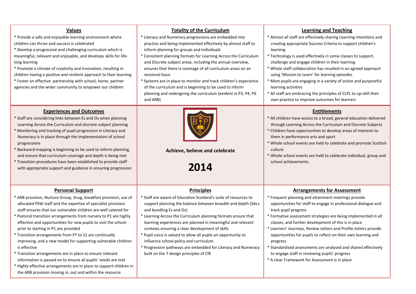| <b>Values</b><br>* Provide a safe and enjoyable learning environment where<br>children can thrive and success is celebrated<br>* Develop a progressive and challenging curriculum which is<br>meaningful, relevant and enjoyable, and develops skills for life-<br>long learning<br>* Promote a climate of creativity and innovation, resulting in<br>children having a positive and resilient approach to their learning<br>* Foster an effective partnership with school, home, partner<br>agencies and the wider community to empower our children                                                                                                                                                                                                                                                                      | <b>Totality of the Curriculum</b><br>* Literacy and Numeracy progressions are embedded into<br>practice and being implemented effectively by almost staff to<br>inform planning for groups and individuals<br>* Consistent planning formats for Learning Across the Curriculum<br>and Discrete subject areas, including the annual overview,<br>ensures that there is coverage of all curriculum areas on an<br>sessional basis<br>* Systems are in place to monitor and track children's experience<br>of the curriculum and is beginning to be used to inform<br>planning and redesigning the curriculum (evident in P3, P4, P6<br>and ARB) | <b>Learning and Teaching</b><br>* Almost all staff are effectively sharing Learning Intentions and<br>creating appropriate Success Criteria to support children's<br>learning<br>* Technology is used effectively in some classes to support,<br>challenge and engage children in their learning<br>* Whole staff collaboration has resulted in an agreed approach<br>using 'Mission to Learn' for learning episodes<br>* Most pupils are engaging in a variety of active and purposeful<br>learning activities<br>* All staff are embracing the principles of CLPL to up-skill their<br>own practice to improve outcomes for learners |
|----------------------------------------------------------------------------------------------------------------------------------------------------------------------------------------------------------------------------------------------------------------------------------------------------------------------------------------------------------------------------------------------------------------------------------------------------------------------------------------------------------------------------------------------------------------------------------------------------------------------------------------------------------------------------------------------------------------------------------------------------------------------------------------------------------------------------|-----------------------------------------------------------------------------------------------------------------------------------------------------------------------------------------------------------------------------------------------------------------------------------------------------------------------------------------------------------------------------------------------------------------------------------------------------------------------------------------------------------------------------------------------------------------------------------------------------------------------------------------------|----------------------------------------------------------------------------------------------------------------------------------------------------------------------------------------------------------------------------------------------------------------------------------------------------------------------------------------------------------------------------------------------------------------------------------------------------------------------------------------------------------------------------------------------------------------------------------------------------------------------------------------|
| <b>Experiences and Outcomes</b><br>* Staff are considering links between Es and Os when planning<br>Learning Across the Curriculum and discrete subject planning<br>* Monitoring and tracking of pupil progression in Literacy and<br>Numeracy is in place through the implementation of school<br>progressions<br>* Backward mapping is beginning to be used to inform planning,<br>and ensure that curriculum coverage and depth is being met<br>* Transition procedures have been established to provide staff<br>with appropriate support and guidance in ensuring progression                                                                                                                                                                                                                                         | Achieve, believe and celebrate<br>2014                                                                                                                                                                                                                                                                                                                                                                                                                                                                                                                                                                                                        | <b>Entitlements</b><br>* All children have access to a broad, general education delivered<br>through Learning Across the Curriculum and Discrete Subjects<br>* Children have opportunities to develop areas of interests to<br>them in performance arts and sport<br>* Whole school events are held to celebrate and promote Scottish<br>culture<br>* Whole school events are held to celebrate individual, group and<br>school achievements                                                                                                                                                                                           |
| <b>Personal Support</b><br>* ARB provision, Nurture Group, Snug, breakfast provision, use of<br>allocated PSW staff and the expertise of specialist provision<br>staff ensures that our vulnerable children are well catered for<br>* Pastoral transition arrangements from nursery to P1 are highly<br>effective and opportunities for new pupils to visit the school<br>prior to starting in P1 are provided<br>* Transition arrangements from P7 to S1 are continually<br>improving, and a new model for supporting vulnerable children<br>is effective<br>* Transition arrangements are in place to ensure relevant<br>information is passed on to ensure all pupils' needs are met<br>* Highly effective arrangements are in place to support children in<br>the ARB provision moving in, out and within the resource | <b>Principles</b><br>* Staff are aware of Education Scotland's suite of resources to<br>support planning the balance between breadth and depth (SALs<br>and bundling Es and Os)<br>* Learning Across the Curriculum planning formats ensure that<br>learning experiences are planned in meaningful and relevant<br>contexts ensuring a clear development of skills<br>* Pupil voice is valued to allow all pupils an opportunity to<br>influence school policy and curriculum<br>* Progression pathways are embedded for Literacy and Numeracy<br>built on the 7 design principles of CfE                                                     | <b>Arrangements for Assessment</b><br>* Frequent planning and attainment meetings provide<br>opportunities for staff to engage in professional dialogue and<br>track pupil progress<br>* Formative assessment strategies are being implemented in all<br>classes, and further development of this is in place<br>* Learners' Journeys, Review Jotters and Profile Jotters provide<br>opportunities for pupils to reflect on their own learning and<br>progress<br>* Standardised assessments are analysed and shared effectively<br>to engage staff in reviewing pupils' progress<br>* A clear Framework for Assessment is in place    |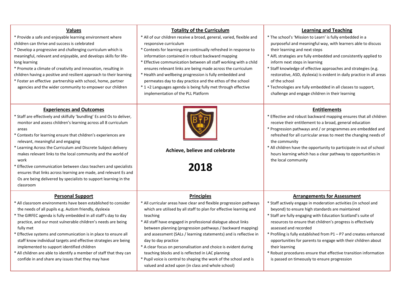| <b>Values</b><br>* Provide a safe and enjoyable learning environment where<br>children can thrive and success is celebrated<br>* Develop a progressive and challenging curriculum which is<br>meaningful, relevant and enjoyable, and develops skills for life-<br>long learning<br>* Promote a climate of creativity and innovation, resulting in<br>children having a positive and resilient approach to their learning<br>* Foster an effective partnership with school, home, partner<br>agencies and the wider community to empower our children                                                                                                    | <b>Totality of the Curriculum</b><br>* All of our children receive a broad, general, varied, flexible and<br>responsive curriculum<br>* Contexts for learning are continually refreshed in response to<br>information contained in robust backward mapping<br>* Effective communication between all staff working with a child<br>ensures relevant links are being made across the curriculum<br>* Health and wellbeing progression is fully embedded and<br>permeates day to day practice and the ethos of the school<br>* 1 +2 Languages agenda is being fully met through effective<br>implementation of the PLL Platform                          | <b>Learning and Teaching</b><br>* The school's 'Mission to Learn' is fully embedded in a<br>purposeful and meaningful way, with learners able to discuss<br>their learning and next steps<br>* AifL strategies are fully embedded and consistently applied to<br>inform next steps in learning<br>* Staff knowledge of effective approaches and strategies (e.g.<br>restorative, ASD, dyslexia) is evident in daily practice in all areas<br>of the school<br>* Technologies are fully embedded in all classes to support,<br>challenge and engage children in their learning                  |
|----------------------------------------------------------------------------------------------------------------------------------------------------------------------------------------------------------------------------------------------------------------------------------------------------------------------------------------------------------------------------------------------------------------------------------------------------------------------------------------------------------------------------------------------------------------------------------------------------------------------------------------------------------|-------------------------------------------------------------------------------------------------------------------------------------------------------------------------------------------------------------------------------------------------------------------------------------------------------------------------------------------------------------------------------------------------------------------------------------------------------------------------------------------------------------------------------------------------------------------------------------------------------------------------------------------------------|------------------------------------------------------------------------------------------------------------------------------------------------------------------------------------------------------------------------------------------------------------------------------------------------------------------------------------------------------------------------------------------------------------------------------------------------------------------------------------------------------------------------------------------------------------------------------------------------|
| <b>Experiences and Outcomes</b><br>* Staff are effectively and skilfully 'bundling' Es and Os to deliver,<br>monitor and assess children's learning across all 8 curriculum<br>areas<br>Contexts for learning ensure that children's experiences are<br>relevant, meaningful and engaging<br>Learning Across the Curriculum and Discrete Subject delivery<br>makes relevant links to the local community and the world of<br>work<br>Effective communication between class teachers and specialists<br>ensures that links across learning are made, and relevant Es and<br>Os are being delivered by specialists to support learning in the<br>classroom | Achieve, believe and celebrate<br>2018                                                                                                                                                                                                                                                                                                                                                                                                                                                                                                                                                                                                                | <b>Entitlements</b><br>* Effective and robust backward mapping ensures that all children<br>receive their entitlement to a broad, general education<br>* Progression pathways and / or programmes are embedded and<br>refreshed for all curricular areas to meet the changing needs of<br>the community<br>* All children have the opportunity to participate in out of school<br>hours learning which has a clear pathway to opportunities in<br>the local community                                                                                                                          |
| <b>Personal Support</b><br>* All classroom environments have been established to consider<br>the needs of all pupils e.g. Autism friendly, dyslexia<br>* The GIRFEC agenda is fully embedded in all staff's day to day<br>practice, and our most vulnerable children's needs are being<br>fully met<br>Effective systems and communication is in place to ensure all<br>staff know individual targets and effective strategies are being<br>implemented to support identified children<br>* All children are able to identify a member of staff that they can<br>confide in and share any issues that they may have                                      | <b>Principles</b><br>* All curricular areas have clear and flexible progression pathways<br>which are utilised by all staff to plan for effective learning and<br>teaching<br>* All staff have engaged in professional dialogue about links<br>between planning (progression pathways / backward mapping)<br>and assessment (SALs / learning statements) and is reflective in<br>day to day practice<br>* A clear focus on personalisation and choice is evident during<br>teaching blocks and is reflected in LAC planning<br>* Pupil voice is central to shaping the work of the school and is<br>valued and acted upon (in class and whole school) | <b>Arrangements for Assessment</b><br>* Staff actively engage in moderation activities (in school and<br>beyond) to ensure high standards are maintained<br>* Staff are fully engaging with Education Scotland's suite of<br>resources to ensure that children's progress is effectively<br>assessed and recorded<br>* Profiling is fully established from P1 - P7 and creates enhanced<br>opportunities for parents to engage with their children about<br>their learning<br>* Robust procedures ensure that effective transition information<br>is passed on timeously to ensure progression |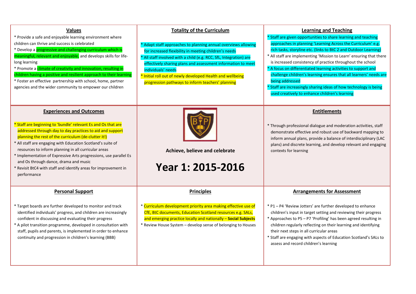| <b>Values</b><br>* Provide a safe and enjoyable learning environment where<br>children can thrive and success is celebrated<br>* Develop a <i>progressive and challenging curriculum which is</i><br>meaningful, relevant and enjoyable, and develops skills for life-<br>long learning<br>* Promote a climate of creativity and innovation, resulting in<br>children having a positive and resilient approach to their learning<br>* Foster an effective partnership with school, home, partner<br>agencies and the wider community to empower our children | <b>Totality of the Curriculum</b><br>* Adapt staff approaches to planning annual overviews allowing<br>for increased flexibility in meeting children's needs<br>* All staff involved with a child (e.g. RCC, SfL, Integration) are<br>effectively sharing plans and assessment information to meet<br>individuals' needs<br>* Initial roll out of newly developed Health and wellbeing<br>progression pathways to inform teachers' planning | <b>Learning and Teaching</b><br>* Staff are given opportunities to share learning and teaching<br>approaches in planning 'Learning Across the Curriculum' e.g.<br>rich tasks, storyline etc. (links to BtC 2 and Outdoor Learning)<br>* All staff are implementing 'Mission to Learn' ensuring that there<br>is increased consistency of practice throughout the school<br>* A focus on differentiated learning activities to support and<br>challenge children's learning ensures that all learners' needs are<br>being addressed<br>* Staff are increasingly sharing ideas of how technology is being<br>used creatively to enhance children's learning |
|--------------------------------------------------------------------------------------------------------------------------------------------------------------------------------------------------------------------------------------------------------------------------------------------------------------------------------------------------------------------------------------------------------------------------------------------------------------------------------------------------------------------------------------------------------------|---------------------------------------------------------------------------------------------------------------------------------------------------------------------------------------------------------------------------------------------------------------------------------------------------------------------------------------------------------------------------------------------------------------------------------------------|-----------------------------------------------------------------------------------------------------------------------------------------------------------------------------------------------------------------------------------------------------------------------------------------------------------------------------------------------------------------------------------------------------------------------------------------------------------------------------------------------------------------------------------------------------------------------------------------------------------------------------------------------------------|
| <b>Experiences and Outcomes</b><br>* Staff are beginning to 'bundle' relevant Es and Os that are<br>addressed through day to day practices to aid and support<br>planning the rest of the curriculum (de-clutter it!)<br>* All staff are engaging with Education Scotland's suite of<br>resources to inform planning in all curricular areas<br>* Implementation of Expressive Arts progressions, use parallel Es<br>and Os through dance, drama and music<br>* Revisit BtC4 with staff and identify areas for improvement in<br>performance                 | Achieve, believe and celebrate<br>Year 1: 2015-2016                                                                                                                                                                                                                                                                                                                                                                                         | <b>Entitlements</b><br>* Through professional dialogue and moderation activities, staff<br>demonstrate effective and robust use of backward mapping to<br>inform annual plans, provide a balance of interdisciplinary (LAC<br>plans) and discrete learning, and develop relevant and engaging<br>contexts for learning                                                                                                                                                                                                                                                                                                                                    |
| <b>Personal Support</b><br>* Target boards are further developed to monitor and track<br>identified individuals' progress, and children are increasingly<br>confident in discussing and evaluating their progress<br>* A pilot transition programme, developed in consultation with<br>staff, pupils and parents, is implemented in order to enhance<br>continuity and progression in children's learning (BBB)                                                                                                                                              | <b>Principles</b><br>* Curriculum development priority area making effective use of<br>CfE, BtC documents, Education Scotland resources e.g. SALs,<br>and emerging practice locally and nationally - Social Subjects<br>* Review House System - develop sense of belonging to Houses                                                                                                                                                        | <b>Arrangements for Assessment</b><br>* P1-P4 'Review Jotters' are further developed to enhance<br>children's input in target setting and reviewing their progress<br>* Approaches to P5 - P7 'Profiling' has been agreed resulting in<br>children regularly reflecting on their learning and identifying<br>their next steps in all curricular areas<br>* Staff are engaging with aspects of Education Scotland's SALs to<br>assess and record children's learning                                                                                                                                                                                       |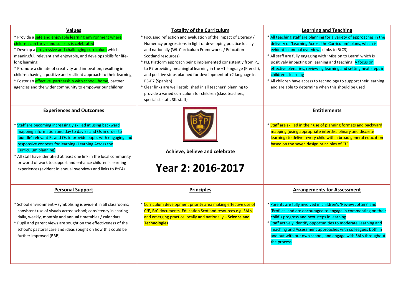| <b>Values</b><br>* Provide a safe and enjoyable learning environment where<br>children can thrive and success is celebrated<br>* Develop a <i>progressive and challenging curriculum</i> which is<br>meaningful, relevant and enjoyable, and develops skills for life-<br>long learning<br>* Promote a climate of creativity and innovation, resulting in<br>children having a positive and resilient approach to their learning<br>* Foster an <i>effective</i> partnership with school, home, partner<br>agencies and the wider community to empower our children | <b>Totality of the Curriculum</b><br>* Focussed reflection and evaluation of the impact of Literacy /<br>Numeracy progressions in light of developing practice locally<br>and nationally (WL Curriculum Frameworks / Education<br>Scotland resources)<br>* PLL Platform approach being implemented consistently from P1<br>to P7 providing meaningful learning in the +1 language (French),<br>and positive steps planned for development of +2 language in<br>P5-P7 (Spanish)<br>* Clear links are well established in all teachers' planning to<br>provide a varied curriculum for children (class teachers,<br>specialist staff, SfL staff) | <b>Learning and Teaching</b><br>All teaching staff are planning for a variety of approaches in the<br>delivery of 'Learning Across the Curriculum' plans, which is<br>evident in annual overviews (links to BtC3)<br>* All staff are fully engaging with 'Mission to Learn' which is<br>positively impacting on learning and teaching. A focus on<br>effective plenaries, reviewing learning and setting next steps in<br>children's learning<br>* All children have access to technology to support their learning<br>and are able to determine when this should be used |
|---------------------------------------------------------------------------------------------------------------------------------------------------------------------------------------------------------------------------------------------------------------------------------------------------------------------------------------------------------------------------------------------------------------------------------------------------------------------------------------------------------------------------------------------------------------------|------------------------------------------------------------------------------------------------------------------------------------------------------------------------------------------------------------------------------------------------------------------------------------------------------------------------------------------------------------------------------------------------------------------------------------------------------------------------------------------------------------------------------------------------------------------------------------------------------------------------------------------------|---------------------------------------------------------------------------------------------------------------------------------------------------------------------------------------------------------------------------------------------------------------------------------------------------------------------------------------------------------------------------------------------------------------------------------------------------------------------------------------------------------------------------------------------------------------------------|
| <b>Experiences and Outcomes</b><br>* Staff are becoming increasingly skilled at using backward<br>mapping information and day to day Es and Os in order to<br>'bundle' relevant Es and Os to provide pupils with engaging and<br>responsive contexts for learning (Learning Across the<br><b>Curriculum planning)</b><br>* All staff have identified at least one link in the local community<br>or world of work to support and enhance children's learning<br>experiences (evident in annual overviews and links to BtC4)                                         | Achieve, believe and celebrate<br>Year 2: 2016-2017                                                                                                                                                                                                                                                                                                                                                                                                                                                                                                                                                                                            | <b>Entitlements</b><br>* Staff are skilled in their use of planning formats and backward<br>mapping (using appropriate interdisciplinary and discrete<br>learning) to deliver every child with a broad general education<br>based on the seven design principles of CfE                                                                                                                                                                                                                                                                                                   |
| <b>Personal Support</b><br>* School environment - symbolising is evident in all classrooms;<br>consistent use of visuals across school; consistency in sharing<br>daily, weekly, monthly and annual timetables / calendars<br>* Pupil and parent views are sought on the effectiveness of the<br>school's pastoral care and ideas sought on how this could be<br>further improved (BBB)                                                                                                                                                                             | <b>Principles</b><br>* Curriculum development priority area making effective use of<br>CfE, BtC documents, Education Scotland resources e.g. SALs,<br>and emerging practice locally and nationally - Science and<br><b>Technologies</b>                                                                                                                                                                                                                                                                                                                                                                                                        | <b>Arrangements for Assessment</b><br>Parents are fully involved in children's 'Review Jotters' and<br>'Profiles' and are encouraged to engage in commenting on their<br>child's progress and next steps in learning<br>* Staff actively identify opportunities to moderate Learning and<br>Teaching and Assessment approaches with colleagues both in<br>and out with our own school, and engage with SALs throughout<br>the process                                                                                                                                     |